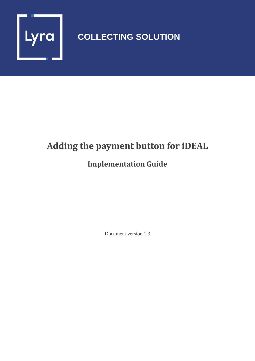

# **COLLECTING SOLUTION**

# **Adding the payment button for iDEAL**

## **Implementation Guide**

Document version 1.3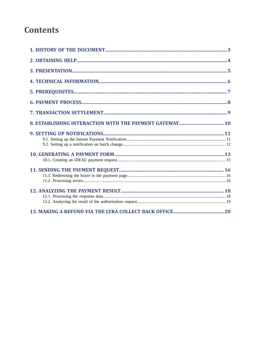## **Contents**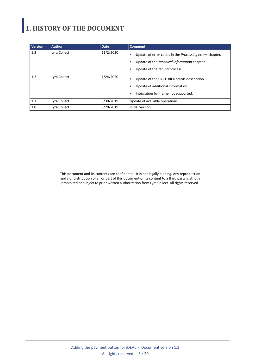# <span id="page-2-0"></span>**1. HISTORY OF THE DOCUMENT**

| <b>Version</b> | <b>Author</b> | <b>Date</b> | <b>Comment</b>                                                                                                                                          |
|----------------|---------------|-------------|---------------------------------------------------------------------------------------------------------------------------------------------------------|
| 1.3            | Lyra Collect  | 11/2/2020   | Update of error codes in the Processing errors chapter.<br>٠<br>Update of the Technical information chapter.<br>٠<br>Update of the refund process.<br>٠ |
| 1.2            | Lyra Collect  | 1/24/2020   | Update of the CAPTURED status description.<br>٠<br>Update of additional information.<br>٠<br>Integration by iframe not supported.<br>٠                  |
| 1.1            | Lyra Collect  | 9/30/2019   | Update of available operations.                                                                                                                         |
| 1.0            | Lyra Collect  | 9/20/2019   | Initial version                                                                                                                                         |

This document and its contents are confidential. It is not legally binding. Any reproduction and / or distribution of all or part of this document or its content to a third party is strictly prohibited or subject to prior written authorization from Lyra Collect. All rights reserved.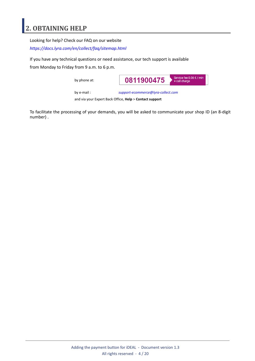### <span id="page-3-0"></span>**2. OBTAINING HELP**

Looking for help? Check our FAQ on our website

*<https://docs.lyra.com/en/collect/faq/sitemap.html>*

If you have any technical questions or need assistance, our tech support is available

from Monday to Friday from 9 a.m. to 6 p.m.

by phone at:



by e-mail : *[support-ecommerce@lyra-collect.com](mailto:support-ecommerce@lyra-collect.com)*

and via your Expert Back Office, **Help** > **Contact support**

To facilitate the processing of your demands, you will be asked to communicate your shop ID (an 8-digit number) .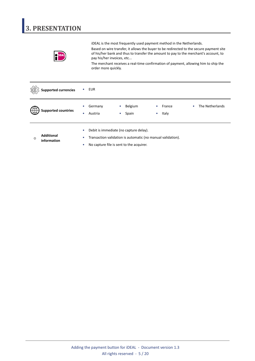# <span id="page-4-0"></span>**3. PRESENTATION**

iDEAL is the most frequently used payment method in the Netherlands.

Based on wire transfer, it allows the buyer to be redirected to the secure payment site of his/her bank and thus to transfer the amount to pay to the merchant's account, to pay his/her invoices, etc...

The merchant receives a real-time confirmation of payment, allowing him to ship the order more quickly.

|              | <b>Supported currencies</b>      |                        | <b>EUR</b>                                                                                                                                        |                |                  |                |                 |   |                 |
|--------------|----------------------------------|------------------------|---------------------------------------------------------------------------------------------------------------------------------------------------|----------------|------------------|----------------|-----------------|---|-----------------|
|              | <b>Supported countries</b>       | ۰                      | Germany<br>Austria                                                                                                                                | $\bullet$<br>۰ | Belgium<br>Spain | $\bullet$<br>۰ | France<br>Italy | ۰ | The Netherlands |
| $^\circledR$ | <b>Additional</b><br>information | $\bullet$<br>$\bullet$ | Debit is immediate (no capture delay).<br>Transaction validation is automatic (no manual validation).<br>No capture file is sent to the acquirer. |                |                  |                |                 |   |                 |

Adding the payment button for iDEAL - Document version 1.3 All rights reserved - 5 / 20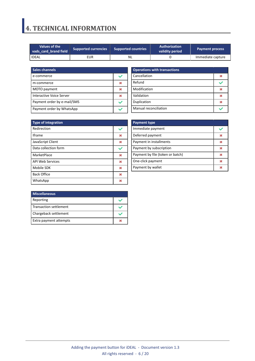## <span id="page-5-0"></span>**4. TECHNICAL INFORMATION**

| Values of the<br>vads card brand field | <b>Supported currencies</b> | <b>Supported countries</b> | <b>Authorization</b><br>validity period | <b>Payment process</b> |  |
|----------------------------------------|-----------------------------|----------------------------|-----------------------------------------|------------------------|--|
| <b>IDEAL</b>                           | EUR                         | NL.                        |                                         | Immediate capture      |  |

| <b>Sales channels</b>       |  |
|-----------------------------|--|
| e-commerce                  |  |
| m-commerce                  |  |
| MOTO payment                |  |
| Interactive Voice Server    |  |
| Payment order by e-mail/SMS |  |
| Payment order by WhatsApp   |  |

| <b>Operations with transactions</b> |  |
|-------------------------------------|--|
| Cancellation                        |  |
| Refund                              |  |
| Modification                        |  |
| Validation                          |  |
| Duplication                         |  |
| Manual reconciliation               |  |

| <b>Type of integration</b> |   |
|----------------------------|---|
| Redirection                |   |
| <b>Iframe</b>              | M |
| JavaScript Client          | × |
| Data collection form       |   |
| MarketPlace                | × |
| <b>API Web Services</b>    | × |
| Mobile SDK                 | 发 |
| <b>Back Office</b>         | × |
| WhatsApp                   |   |

| <b>Payment type</b>              |  |
|----------------------------------|--|
| Immediate payment                |  |
| Deferred payment                 |  |
| Payment in installments          |  |
| Payment by subscription          |  |
| Payment by file (token or batch) |  |
| One-click payment                |  |
| Payment by wallet                |  |

| <b>Miscellaneous</b>   |  |
|------------------------|--|
| Reporting              |  |
| Transaction settlement |  |
| Chargeback settlement  |  |
| Extra payment attempts |  |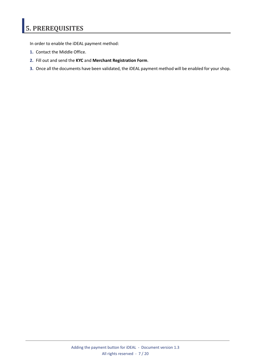# <span id="page-6-0"></span>**5. PREREQUISITES**

In order to enable the iDEAL payment method:

- **1.** Contact the Middle Office.
- **2.** Fill out and send the **KYC** and **Merchant Registration Form**.
- **3.** Once all the documents have been validated, the iDEAL payment method will be enabled for yourshop.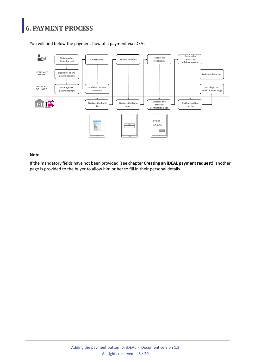

<span id="page-7-0"></span>You will find below the payment flow of a payment via iDEAL:

#### **Note**:

If the mandatory fields have not been provided (see chapter **Creating an iDEAL payment request**), another page is provided to the buyer to allow him or her to fill in their personal details.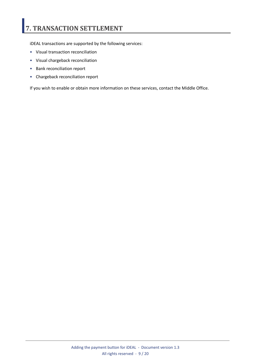# <span id="page-8-0"></span>**7. TRANSACTION SETTLEMENT**

iDEAL transactions are supported by the following services:

- Visual transaction reconciliation
- Visual chargeback reconciliation
- Bank reconciliation report
- Chargeback reconciliation report

If you wish to enable or obtain more information on these services, contact the Middle Office.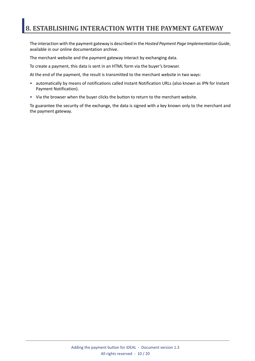### <span id="page-9-0"></span>**8. ESTABLISHING INTERACTION WITH THE PAYMENT GATEWAY**

The interaction with the payment gateway is described in the *Hosted Payment Page Implementation Guide*, available in our online documentation archive.

The merchant website and the payment gateway interact by exchanging data.

To create a payment, this data is sent in an HTML form via the buyer's browser.

At the end of the payment, the result is transmitted to the merchant website in two ways:

- automatically by means of notifications called Instant Notification URLs (also known as IPN for Instant Payment Notification).
- Via the browser when the buyer clicks the button to return to the merchant website.

To guarantee the security of the exchange, the data is signed with a key known only to the merchant and the payment gateway.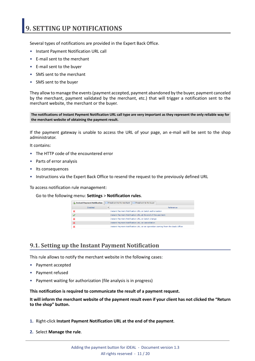## <span id="page-10-0"></span>**9. SETTING UP NOTIFICATIONS**

Several types of notifications are provided in the Expert Back Office.

- Instant Payment Notification URL call
- E-mail sent to the merchant
- E-mail sent to the buyer
- SMS sent to the merchant
- SMS sent to the buyer

They allow to manage the events(payment accepted, payment abandoned by the buyer, payment canceled by the merchant, payment validated by the merchant, etc.) that will trigger a notification sent to the merchant website, the merchant or the buyer.

The notifications of Instant Payment Notification URL call type are very important as they represent the only reliable way for **the merchant website of obtaining the payment result.**

If the payment gateway is unable to access the URL of your page, an e-mail will be sent to the shop administrator.

It contains:

- The HTTP code of the encountered error
- Parts of error analysis
- Its consequences
- Instructions via the Expert Back Office to resend the request to the previously defined URL

To access notification rule management:

Go to the following menu: **Settings** > **Notification rules**.

| Instant Payment Notification              | $\boxed{\smash{\sim}}$ E-mail sent to the merchant<br>$\sqrt{\phantom{a}}$ E-mail sent to the buver |
|-------------------------------------------|-----------------------------------------------------------------------------------------------------|
| $\overline{\mathbf{v}}$<br><b>Enabled</b> | Reference                                                                                           |
|                                           | Instant Payment Notification URL on batch authorization                                             |
|                                           | Instant Payment Notification URL at the end of the payment                                          |
|                                           | Instant Payment Notification URL on batch change                                                    |
|                                           | <b>Instant Payment Notification URL on cancellation</b>                                             |
|                                           | Instant Payment Notification URL on an operation coming from the Back Office                        |

#### <span id="page-10-1"></span>**9.1. Setting up the Instant Payment Notification**

This rule allows to notify the merchant website in the following cases:

- Payment accepted
- Payment refused
- Payment waiting for authorization (file analysis is in progress)

**This notification is required to communicate the result of a payment request.**

It will inform the merchant website of the payment result even if your client has not clicked the "Return **to the shop" button.**

- **1.** Right-click **Instant Payment Notification URL at the end of the payment**.
- **2.** Select **Manage the rule**.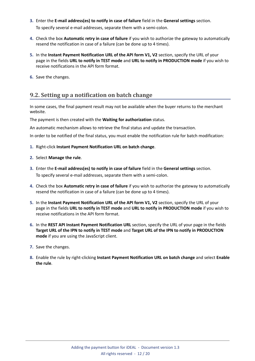- **3.** Enter the **E-mail address(es) to notify in case of failure** field in the **General settings** section. To specify several e-mail addresses, separate them with a semi-colon.
- **4.** Check the box **Automatic retry in case of failure** if you wish to authorize the gateway to automatically resend the notification in case of a failure (can be done up to 4 times).
- **5.** In the **Instant Payment Notification URL of the API form V1, V2** section, specify the URL of your page in the fields **URL to notify in TEST mode** and **URL to notify in PRODUCTION mode** if you wish to receive notifications in the API form format.
- **6.** Save the changes.

#### <span id="page-11-0"></span>**9.2. Setting up a notification on batch change**

In some cases, the final payment result may not be available when the buyer returns to the merchant website.

#### The payment is then created with the **Waiting for authorization** status.

An automatic mechanism allows to retrieve the final status and update the transaction.

In order to be notified of the final status, you must enable the notification rule for batch modification:

- **1.** Right-click **Instant Payment Notification URL on batch change**.
- **2.** Select **Manage the rule**.
- **3.** Enter the **E-mail address(es) to notify in case of failure** field in the **General settings** section. To specify several e-mail addresses, separate them with a semi-colon.
- **4.** Check the box **Automatic retry in case of failure** if you wish to authorize the gateway to automatically resend the notification in case of a failure (can be done up to 4 times).
- **5.** In the **Instant Payment Notification URL of the API form V1, V2** section, specify the URL of your page in the fields **URL to notify in TEST mode** and **URL to notify in PRODUCTION mode** if you wish to receive notifications in the API form format.
- **6.** In the **REST API Instant Payment Notification URL** section, specify the URL of your page in the fields Target URL of the IPN to notify in TEST mode and Target URL of the IPN to notify in PRODUCTION **mode** if you are using the JavaScript client.
- **7.** Save the changes.
- **8.** Enable the rule by right-clicking **Instant Payment Notification URL on batch change** and select **Enable the rule**.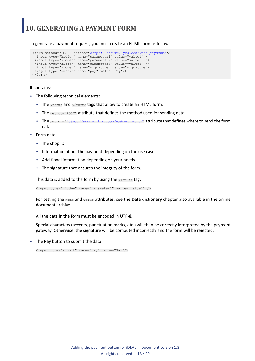<span id="page-12-0"></span>To generate a payment request, you must create an HTML form as follows:

```
<form method="POST" action="https://secure.lyra.com/vads-payment/">
 <input type="hidden" name="parameter1" value="value1" />
 <input type="hidden" name="parameter2" value="value2" />
 <input type="hidden" name="parameter3" value="value3" />
 <input type="hidden" name="signature" value="signature"/>
 <input type="submit" name="pay" value="Pay"/>
\langle/form\rangle
```
It contains:

- The following technical elements:
	- The  $\leq$  form> and  $\leq$ / form> tags that allow to create an HTML form.
	- The method="POST" attribute that defines the method used for sending data.
	- The action="*<https://secure.lyra.com/vads-payment/>*" attribute that defines where to send the form data.
- Form data:
	- The shop ID.
	- Information about the payment depending on the use case.
	- Additional information depending on your needs.
	- The signature that ensures the integrity of the form.

This data is added to the form by using the  $\langle$ input> tag:

<input type="hidden" name="parameter1" value="value1" />

For setting the name and value attributes, see the **Data dictionary** chapter also available in the online document archive.

All the data in the form must be encoded in **UTF-8.**

Special characters (accents, punctuation marks, etc.) will then be correctly interpreted by the payment gateway. Otherwise, the signature will be computed incorrectly and the form will be rejected.

• The **Pay** button to submit the data:

<input type="submit" name="pay" value="Pay"/>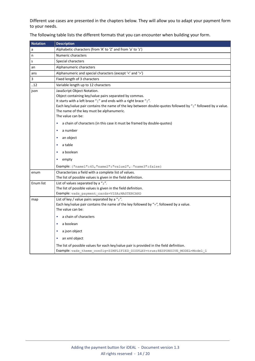Different use cases are presented in the chapters below. They will allow you to adapt your payment form to your needs.

| <b>Notation</b> | <b>Description</b>                                                                                                                                                                                                                                                                                                                                                                                                                                                            |
|-----------------|-------------------------------------------------------------------------------------------------------------------------------------------------------------------------------------------------------------------------------------------------------------------------------------------------------------------------------------------------------------------------------------------------------------------------------------------------------------------------------|
| a               | Alphabetic characters (from 'A' to 'Z' and from 'a' to 'z')                                                                                                                                                                                                                                                                                                                                                                                                                   |
| n               | Numeric characters                                                                                                                                                                                                                                                                                                                                                                                                                                                            |
| s               | Special characters                                                                                                                                                                                                                                                                                                                                                                                                                                                            |
| an              | Alphanumeric characters                                                                                                                                                                                                                                                                                                                                                                                                                                                       |
| ans             | Alphanumeric and special characters (except '<' and '>')                                                                                                                                                                                                                                                                                                                                                                                                                      |
| 3               | Fixed length of 3 characters                                                                                                                                                                                                                                                                                                                                                                                                                                                  |
| .12             | Variable length up to 12 characters                                                                                                                                                                                                                                                                                                                                                                                                                                           |
| json            | JavaScript Object Notation.<br>Object containing key/value pairs separated by commas.<br>It starts with a left brace "{" and ends with a right brace "}".<br>Each key/value pair contains the name of the key between double-quotes followed by ":" followed by a value.<br>The name of the key must be alphanumeric.<br>The value can be:<br>a chain of characters (in this case it must be framed by double-quotes)<br>٠<br>a number<br>٠<br>an object<br>٠<br>a table<br>٠ |
|                 | a boolean<br>empty<br>٠                                                                                                                                                                                                                                                                                                                                                                                                                                                       |
|                 | <b>Example:</b> { "name1":45,            "name2": "value2",            "name3":false}                                                                                                                                                                                                                                                                                                                                                                                         |
| enum            | Characterizes a field with a complete list of values.<br>The list of possible values is given in the field definition.                                                                                                                                                                                                                                                                                                                                                        |
| Enum list       | List of values separated by a ";".<br>The list of possible values is given in the field definition.<br>Example: vads payment cards=VISA; MASTERCARD                                                                                                                                                                                                                                                                                                                           |
| map             | List of key / value pairs separated by a " $\overline{r}$ ".<br>Each key/value pair contains the name of the key followed by "=", followed by a value.<br>The value can be:<br>a chain of characters<br>٠                                                                                                                                                                                                                                                                     |
|                 | a boolean<br>٠                                                                                                                                                                                                                                                                                                                                                                                                                                                                |
|                 | a json object<br>٠                                                                                                                                                                                                                                                                                                                                                                                                                                                            |
|                 | an xml object                                                                                                                                                                                                                                                                                                                                                                                                                                                                 |
|                 | The list of possible values for each key/value pair is provided in the field definition.<br>Example: vads theme config=SIMPLIFIED DISPLAY=true; RESPONSIVE MODEL=Model 1                                                                                                                                                                                                                                                                                                      |

The following table lists the different formats that you can encounter when building your form.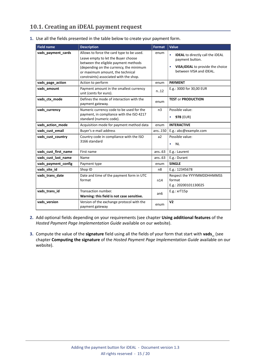### <span id="page-14-0"></span>**10.1. Creating an iDEAL payment request**

| 1. Use all the fields presented in the table below to create your payment form. |  |  |  |
|---------------------------------------------------------------------------------|--|--|--|
|                                                                                 |  |  |  |

| <b>Field name</b>    | <b>Description</b>                                                                                                                                                                                                                                | <b>Format</b>  | Value                                                                                                                                                |
|----------------------|---------------------------------------------------------------------------------------------------------------------------------------------------------------------------------------------------------------------------------------------------|----------------|------------------------------------------------------------------------------------------------------------------------------------------------------|
| vads_payment_cards   | Allows to force the card type to be used.<br>Leave empty to let the Buyer choose<br>between the eligible payment methods<br>(depending on the currency, the minimum<br>or maximum amount, the technical<br>constraints) associated with the shop. | enum           | <b>IDEAL</b> to directly call the iDEAL<br>$\bullet$<br>payment button.<br>VISA; IDEAL to provide the choice<br>$\bullet$<br>between VISA and iDEAL. |
| vads_page_action     | Action to perform                                                                                                                                                                                                                                 | enum           | <b>PAYMENT</b>                                                                                                                                       |
| vads amount          | Payment amount in the smallest currency<br>unit (cents for euro).                                                                                                                                                                                 | n.12           | E.g.: 3000 for 30,00 EUR                                                                                                                             |
| vads_ctx_mode        | Defines the mode of interaction with the<br>payment gateway.                                                                                                                                                                                      | enum           | <b>TEST or PRODUCTION</b>                                                                                                                            |
| vads_currency        | Numeric currency code to be used for the<br>payment, in compliance with the ISO 4217<br>standard (numeric code).                                                                                                                                  | n <sub>3</sub> | Possible value:<br><b>978 (EUR)</b><br>$\bullet$                                                                                                     |
| vads_action_mode     | Acquisition mode for payment method data                                                                                                                                                                                                          | enum           | <b>INTERACTIVE</b>                                                                                                                                   |
| vads_cust_email      | Buyer's e-mail address                                                                                                                                                                                                                            | ans150         | E.g.: abc@example.com                                                                                                                                |
| vads_cust_country    | Country code in compliance with the ISO<br>3166 standard                                                                                                                                                                                          | a2             | Possible value:<br><b>NL</b><br>$\bullet$                                                                                                            |
| vads_cust_first_name | First name                                                                                                                                                                                                                                        | ans.63         | E.g.: Laurent                                                                                                                                        |
| vads_cust_last_name  | Name                                                                                                                                                                                                                                              | ans63          | E.g.: Durant                                                                                                                                         |
| vads_payment_config  | Payment type                                                                                                                                                                                                                                      | enum           | <b>SINGLE</b>                                                                                                                                        |
| vads_site_id         | Shop ID                                                                                                                                                                                                                                           | n <sub>8</sub> | E.g.: 12345678                                                                                                                                       |
| vads_trans_date      | Date and time of the payment form in UTC<br>format                                                                                                                                                                                                | n14            | Respect the YYYYMMDDHHMMSS<br>format<br>E.g.: 20200101130025                                                                                         |
| vads_trans_id        | Transaction number.<br>Warning: this field is not case sensitive.                                                                                                                                                                                 | an6            | E.g.: xrT15p                                                                                                                                         |
| vads_version         | Version of the exchange protocol with the<br>payment gateway                                                                                                                                                                                      | enum           | V <sub>2</sub>                                                                                                                                       |

- **2.** Add optional fields depending on your requirements (see chapter **Using additional features** of the *Hosted Payment Page Implementation Guide* available on our website).
- **3.** Compute the value of the **signature** field using all the fields of your form that start with **vads\_** (see chapter **Computing the signature** of the *Hosted Payment Page Implementation Guide* available on our website).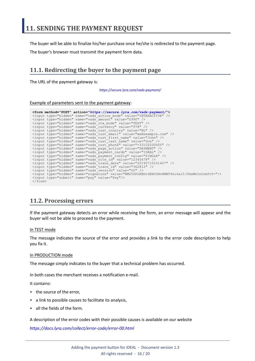<span id="page-15-0"></span>The buyer will be able to finalize his/her purchase once he/she is redirected to the payment page.

The buyer's browser must transmit the payment form data.

### <span id="page-15-1"></span>**11.1. Redirecting the buyer to the payment page**

The URL of the payment gateway is:

*<https://secure.lyra.com/vads-payment/>*

#### Example of parameters sent to the payment gateway:

|                           | <form action="https://secure.lyra.com/vads-payment/" method="POST"></form>                   |
|---------------------------|----------------------------------------------------------------------------------------------|
|                           | <input name="vads action mode" type="hidden" value="INTERACTIVE"/>                           |
|                           | <input name="vads amount" type="hidden" value="2990"/>                                       |
|                           | <input name="vads ctx mode" type="hidden" value="TEST"/>                                     |
|                           | <input name="vads currency" type="hidden" value="978"/>                                      |
|                           | <input name="vads cust country" type="hidden" value="NL"/>                                   |
|                           | <input name="vads cust email" type="hidden" value="me@example.com"/>                         |
|                           | <input name="vads cust first name" type="hidden" value="John"/>                              |
|                           | <input name="vads cust last name" type="hidden" value="Doe"/>                                |
|                           | <input name="vads cust phone" type="hidden" value="+33102030405"/>                           |
|                           | <input name="vads page action" type="hidden" value="PAYMENT"/>                               |
|                           | <input name="vads payment cards" type="hidden" value="IDEAL"/>                               |
|                           | <input name="vads payment config" type="hidden" value="SINGLE"/>                             |
|                           | <input name="vads site id" type="hidden" value="12345678"/>                                  |
|                           | <input name="vads trans date" type="hidden" value="20190710101407"/>                         |
|                           | <input name="vads trans id" type="hidden" value="362812"/>                                   |
|                           | <input name="vads version" type="hidden" value="V2"/>                                        |
|                           | <input name="signature" type="hidden" value="NM25DPLKEbtGEHCDHn8MBT4ki6aJI/ODaWhCzCnAfvY="/> |
|                           | <input name="pay" type="submit" value="Pay"/>                                                |
| $\langle$ /form $\rangle$ |                                                                                              |

### <span id="page-15-2"></span>**11.2. Processing errors**

If the payment gateway detects an error while receiving the form, an error message will appear and the buyer will not be able to proceed to the payment.

#### In TEST mode

The message indicates the source of the error and provides a link to the error code description to help you fix it.

#### In PRODUCTION mode

The message simply indicates to the buyer that a technical problem has occurred.

In both cases the merchant receives a notification e-mail.

It contains:

- the source of the error,
- a link to possible causes to facilitate its analysis,
- all the fields of the form.

A description of the error codes with their possible causes is available on our website

*<https://docs.lyra.com/collect/error-code/error-00.html>*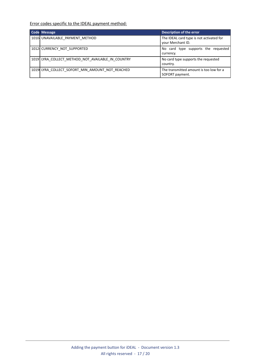Error codes specific to the IDEAL payment method:

| <b>Code Message</b>                               | Description of the error                                      |
|---------------------------------------------------|---------------------------------------------------------------|
| 10104 UNAVAILABLE PAYMENT METHOD                  | The IDEAL card type is not activated for<br>your Merchant ID. |
| 1012 CURRENCY NOT SUPPORTED                       | No card type supports the requested<br>currency.              |
| 1019 LYRA COLLECT METHOD NOT AVAILABLE IN COUNTRY | No card type supports the requested<br>country.               |
| 1019 LYRA COLLECT SOFORT MIN AMOUNT NOT REACHED   | The transmitted amount is too low for a<br>SOFORT payment.    |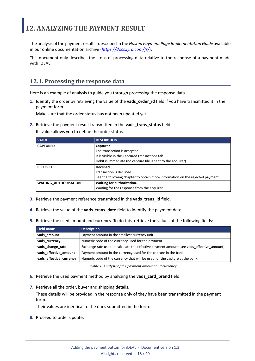<span id="page-17-0"></span>The analysis of the payment result is described in the *Hosted Payment Page Implementation Guide* available in our online documentation archive (*<https://docs.lyra.com/fr/>*).

This document only describes the steps of processing data relative to the response of a payment made with iDEAL.

### <span id="page-17-1"></span>**12.1. Processing the response data**

Here is an example of analysis to guide you through processing the response data.

**1.** Identify the order by retrieving the value of the **vads\_order\_id** field if you have transmitted it in the payment form.

Make sure that the order status has not been updated yet.

**2.** Retrieve the payment result transmitted in the **vads\_trans\_status** field.

Its value allows you to define the order status.

| <b>VALUE</b>                 | <b>DESCRIPTION</b>                                                            |  |
|------------------------------|-------------------------------------------------------------------------------|--|
| <b>CAPTURED</b>              | Captured                                                                      |  |
|                              | The transaction is accepted.                                                  |  |
|                              | It is visible in the Captured transactions tab.                               |  |
|                              | Debit is immediate (no capture file is sent to the acquirer).                 |  |
| <b>REFUSED</b>               | <b>Declined</b>                                                               |  |
|                              | Transaction is declined.                                                      |  |
|                              | See the following chapter to obtain more information on the rejected payment. |  |
| <b>WAITING AUTHORISATION</b> | Waiting for authorization.                                                    |  |
|                              | Waiting for the response from the acquirer.                                   |  |

- **3.** Retrieve the payment reference transmitted in the **vads\_trans\_id** field.
- **4.** Retrieve the value of the **vads\_trans\_date** field to identify the payment date.
- **5.** Retrieve the used amount and currency. To do this, retrieve the values of the following fields:

| Field name              | <b>Description</b>                                                                        |  |
|-------------------------|-------------------------------------------------------------------------------------------|--|
| vads amount             | Payment amount in the smallest currency unit.                                             |  |
| vads currency           | Numeric code of the currency used for the payment.                                        |  |
| vads_change_rate        | Exchange rate used to calculate the effective payment amount (see vads effective amount). |  |
| vads_effective_amount   | Payment amount in the currency used for the capture in the bank.                          |  |
| vads_effective_currency | Numeric code of the currency that will be used for the capture at the bank.               |  |

*Table 1: Analysis of the payment amount and currency*

- **6.** Retrieve the used payment method by analyzing the **vads\_card\_brand** field.
- **7.** Retrieve all the order, buyer and shipping details.

These details will be provided in the response only of they have been transmitted in the payment form.

Their values are identical to the ones submitted in the form.

**8.** Proceed to order update.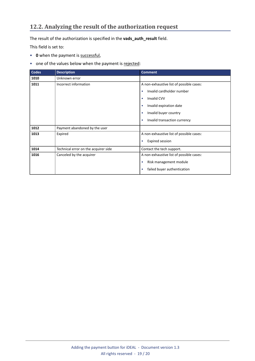### <span id="page-18-0"></span>**12.2. Analyzing the result of the authorization request**

The result of the authorization is specified in the **vads\_auth\_result** field.

This field is set to:

- **0** when the payment is successful,
- one of the values below when the payment is rejected:

| <b>Codes</b> | <b>Description</b>                   | <b>Comment</b>                            |
|--------------|--------------------------------------|-------------------------------------------|
| 1010         | Unknown error                        |                                           |
| 1011         | Incorrect information                | A non-exhaustive list of possible cases:  |
|              |                                      | Invalid cardholder number<br>٠            |
|              |                                      | <b>Invalid CVV</b><br>$\bullet$           |
|              |                                      | Invalid expiration date<br>٠              |
|              |                                      | Invalid buyer country                     |
|              |                                      | Invalid transaction currency<br>$\bullet$ |
| 1012         | Payment abandoned by the user        |                                           |
| 1013         | Expired                              | A non-exhaustive list of possible cases:  |
|              |                                      | <b>Expired session</b><br>۰               |
| 1014         | Technical error on the acquirer side | Contact the tech support.                 |
| 1016         | Canceled by the acquirer             | A non-exhaustive list of possible cases:  |
|              |                                      | Risk management module<br>$\bullet$       |
|              |                                      | failed buyer authentication<br>٠          |